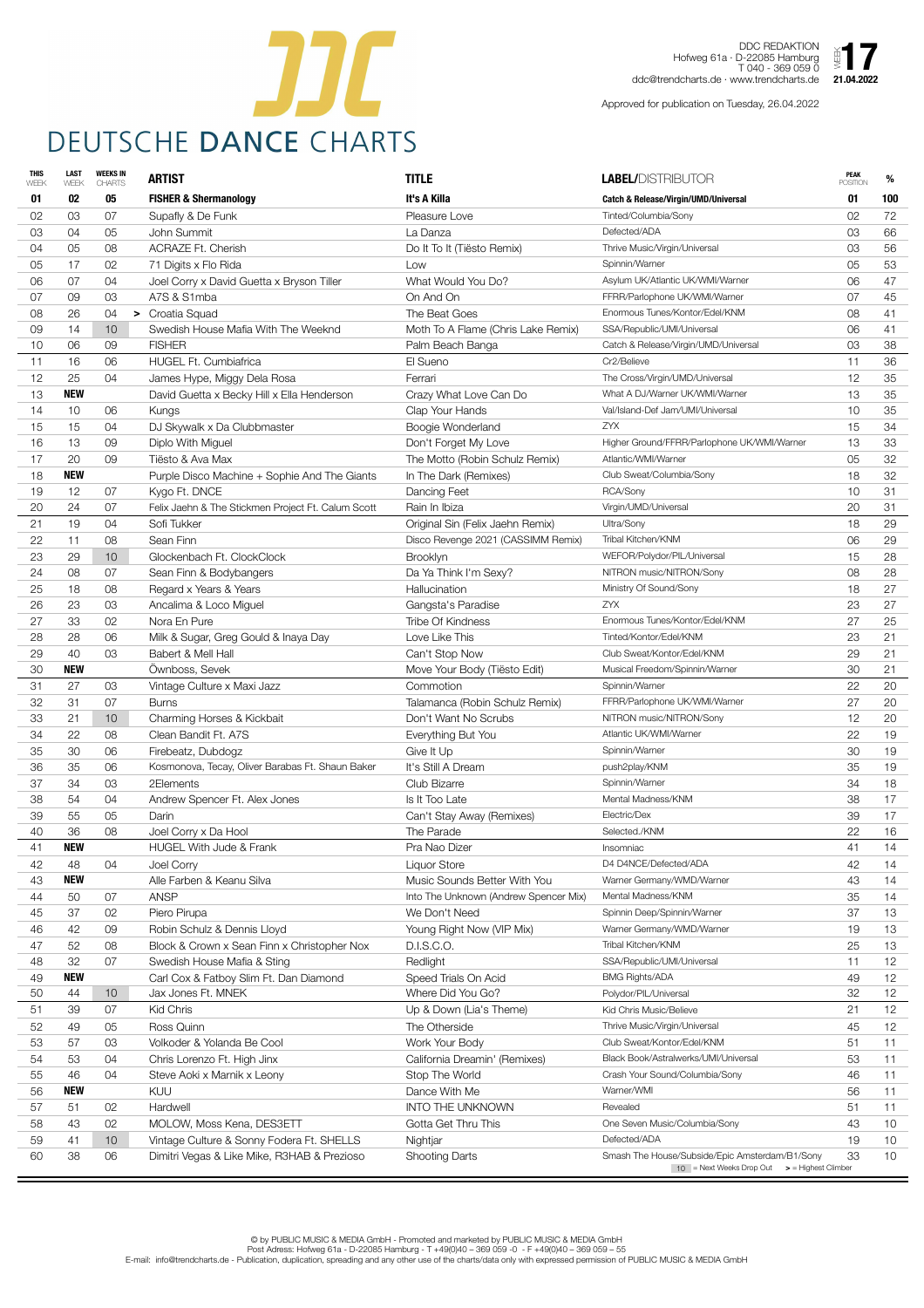

DDC REDAKTION Hofweg 61a · D-22085 Hamburg T 040 - 369 059 0 ddc@trendcharts.de · www.trendcharts.de  $\sum_{21.04.2022}$ 

| <b>THIS</b><br>WEEK | <b>LAST</b><br>WEEK | <b>WEEKS IN</b><br><b>CHARTS</b> | <b>ARTIST</b>                                      | <b>TITLE</b>                          | <b>LABEL/DISTRIBUTOR</b>                        | <b>PEAK</b><br><b>POSITION</b> | %               |
|---------------------|---------------------|----------------------------------|----------------------------------------------------|---------------------------------------|-------------------------------------------------|--------------------------------|-----------------|
| 01                  | 02                  | 05                               | <b>FISHER &amp; Shermanology</b>                   | It's A Killa                          | <b>Catch &amp; Release/Virgin/UMD/Universal</b> | 01                             | 100             |
| 02                  | 03                  | 07                               | Supafly & De Funk                                  | Pleasure Love                         | Tinted/Columbia/Sony                            | 02                             | 72              |
| 03                  | 04                  | 05                               | John Summit                                        | La Danza                              | Defected/ADA                                    | 03                             | 66              |
| 04                  | 05                  | 08                               | <b>ACRAZE Ft. Cherish</b>                          | Do It To It (Tiësto Remix)            | Thrive Music/Virgin/Universal                   | 03                             | 56              |
| 05                  | 17                  | 02                               | 71 Digits x Flo Rida                               | Low                                   | Spinnin/Warner                                  | 05                             | 53              |
| 06                  | 07                  | 04                               | Joel Corry x David Guetta x Bryson Tiller          | What Would You Do?                    | Asylum UK/Atlantic UK/WMI/Warner                | 06                             | 47              |
| 07                  | 09                  | 03                               | A7S & S1mba                                        | On And On                             | FFRR/Parlophone UK/WMI/Warner                   | 07                             | 45              |
| 08                  | 26                  | 04                               | > Croatia Squad                                    | The Beat Goes                         | Enormous Tunes/Kontor/Edel/KNM                  | 08                             | 41              |
| 09                  | 14                  | 10                               | Swedish House Mafia With The Weeknd                | Moth To A Flame (Chris Lake Remix)    | SSA/Republic/UMI/Universal                      | 06                             | 41              |
| 10                  | 06                  | 09                               | <b>FISHER</b>                                      | Palm Beach Banga                      | Catch & Release/Virgin/UMD/Universal            | 03                             | 38              |
| 11                  | 16                  | 06                               | HUGEL Ft. Cumbiafrica                              | El Sueno                              | Cr2/Believe                                     | 11                             | 36              |
| 12                  | 25                  | 04                               | James Hype, Miggy Dela Rosa                        | Ferrari                               | The Cross/Virgin/UMD/Universal                  | 12                             | 35              |
| 13                  | <b>NEW</b>          |                                  | David Guetta x Becky Hill x Ella Henderson         | Crazy What Love Can Do                | What A DJ/Warner UK/WMI/Warner                  | 13                             | 35              |
| 14                  | 10                  | 06                               | Kungs                                              | Clap Your Hands                       | Val/Island-Def Jam/UMI/Universal                | 10                             | 35              |
| 15                  | 15                  | 04                               | DJ Skywalk x Da Clubbmaster                        | Boogie Wonderland                     | <b>ZYX</b>                                      | 15                             | 34              |
| 16                  | 13                  | 09                               | Diplo With Miguel                                  | Don't Forget My Love                  | Higher Ground/FFRR/Parlophone UK/WMI/Warner     | 13                             | 33              |
| 17                  | 20                  | 09                               | Tiësto & Ava Max                                   | The Motto (Robin Schulz Remix)        | Atlantic/WMI/Warner                             | 05                             | 32              |
| 18                  | <b>NEW</b>          |                                  | Purple Disco Machine + Sophie And The Giants       | In The Dark (Remixes)                 | Club Sweat/Columbia/Sony                        | 18                             | 32              |
| 19                  | 12                  | 07                               | Kygo Ft. DNCE                                      | Dancing Feet                          | RCA/Sony                                        | 10                             | 31              |
| 20                  | 24                  | 07                               | Felix Jaehn & The Stickmen Project Ft. Calum Scott | Rain In Ibiza                         | Virgin/UMD/Universal                            | 20                             | 31              |
| 21                  | 19                  | 04                               | Sofi Tukker                                        | Original Sin (Felix Jaehn Remix)      | Ultra/Sony                                      | 18                             | 29              |
| 22                  | 11                  | 08                               | Sean Finn                                          | Disco Revenge 2021 (CASSIMM Remix)    | Tribal Kitchen/KNM                              | 06                             | 29              |
| 23                  | 29                  | 10 <sup>°</sup>                  | Glockenbach Ft. ClockClock                         | <b>Brooklyn</b>                       | WEFOR/Polydor/PIL/Universal                     | 15                             | 28              |
| 24                  | 08                  | 07                               | Sean Finn & Bodybangers                            | Da Ya Think I'm Sexy?                 | NITRON music/NITRON/Sony                        | 08                             | 28              |
| 25                  | 18                  | 08                               | Regard x Years & Years                             | Hallucination                         | Ministry Of Sound/Sony                          | 18                             | 27              |
| 26                  | 23                  | 03                               | Ancalima & Loco Miguel                             | Gangsta's Paradise                    | ZYX                                             | 23                             | 27              |
| 27                  | 33                  | 02                               | Nora En Pure                                       | <b>Tribe Of Kindness</b>              | Enormous Tunes/Kontor/Edel/KNM                  | 27                             | 25              |
| 28                  | 28                  | 06                               | Milk & Sugar, Greg Gould & Inaya Day               | Love Like This                        | Tinted/Kontor/Edel/KNM                          | 23                             | 21              |
| 29                  | 40                  | 03                               | Babert & Mell Hall                                 | Can't Stop Now                        | Club Sweat/Kontor/Edel/KNM                      | 29                             | 21              |
| 30                  | <b>NEW</b>          |                                  | Ownboss, Sevek                                     | Move Your Body (Tiësto Edit)          | Musical Freedom/Spinnin/Warner                  | 30                             | 21              |
| 31                  | 27                  | 03                               | Vintage Culture x Maxi Jazz                        | Commotion                             | Spinnin/Warner                                  | 22                             | 20              |
| 32                  | 31                  | 07                               | <b>Burns</b>                                       | Talamanca (Robin Schulz Remix)        | FFRR/Parlophone UK/WMI/Warner                   | 27                             | 20              |
| 33                  | 21                  | 10                               | Charming Horses & Kickbait                         | Don't Want No Scrubs                  | NITRON music/NITRON/Sony                        | 12                             | 20              |
| 34                  | 22                  | 08                               | Clean Bandit Ft. A7S                               | Everything But You                    | Atlantic UK/WMI/Warner                          | 22                             | 19              |
| 35                  | 30                  | 06                               | Firebeatz, Dubdogz                                 | Give It Up                            | Spinnin/Warner                                  | 30                             | 19              |
| 36                  | 35                  | 06                               | Kosmonova, Tecay, Oliver Barabas Ft. Shaun Baker   | It's Still A Dream                    | push2play/KNM                                   | 35                             | 19              |
| 37                  | 34                  | 03                               | 2Elements                                          | Club Bizarre                          | Spinnin/Warner                                  | 34                             | 18              |
| 38                  | 54                  | 04                               | Andrew Spencer Ft. Alex Jones                      | Is It Too Late                        | Mental Madness/KNM                              | 38                             | 17              |
| 39                  | 55                  | 05                               | Darin                                              | Can't Stay Away (Remixes)             | Electric/Dex                                    | 39                             | 17              |
| 40                  | 36                  | 08                               | Joel Corry x Da Hool                               | The Parade                            | Selected./KNM                                   | 22                             | 16              |
| 41                  | <b>NEW</b>          |                                  | <b>HUGEL With Jude &amp; Frank</b>                 | Pra Nao Dizer                         | Insomniac                                       | 41                             | 14              |
| 42                  | 48                  | 04                               | Joel Corry                                         | <b>Liquor Store</b>                   | D4 D4NCE/Defected/ADA                           | 42                             | 14              |
| 43                  | <b>NEW</b>          |                                  | Alle Farben & Keanu Silva                          | Music Sounds Better With You          | Warner Germany/WMD/Warner                       | 43                             | 14              |
| 44                  | 50                  | 07                               | <b>ANSP</b>                                        | Into The Unknown (Andrew Spencer Mix) | Mental Madness/KNM                              | 35                             | 14              |
| 45                  | 37                  | 02                               | Piero Pirupa                                       | We Don't Need                         | Spinnin Deep/Spinnin/Warner                     | 37                             | 13              |
| 46                  | 42                  | 09                               | Robin Schulz & Dennis Lloyd                        | Young Right Now (VIP Mix)             | Warner Germany/WMD/Warner                       | 19                             | 13              |
| 47                  | 52                  | 08                               | Block & Crown x Sean Finn x Christopher Nox        | D.I.S.C.O.                            | Tribal Kitchen/KNM                              | 25                             | 13              |
| 48                  | 32                  | 07                               | Swedish House Mafia & Sting                        | Redlight                              | SSA/Republic/UMI/Universal                      | 11                             | 12              |
| 49                  | <b>NEW</b>          |                                  | Carl Cox & Fatboy Slim Ft. Dan Diamond             | Speed Trials On Acid                  | <b>BMG Rights/ADA</b>                           | 49                             | 12              |
| 50                  | 44                  | 10                               | Jax Jones Ft. MNEK                                 | Where Did You Go?                     | Polydor/PIL/Universal                           | 32                             | 12 <sub>2</sub> |
| 51                  | 39                  | 07                               | Kid Chris                                          | Up & Down (Lia's Theme)               | Kid Chris Music/Believe                         | 21                             | 12              |
| 52                  | 49                  | 05                               | Ross Quinn                                         | The Otherside                         | Thrive Music/Virgin/Universal                   | 45                             | 12              |
| 53                  | 57                  | 03                               | Volkoder & Yolanda Be Cool                         | Work Your Body                        | Club Sweat/Kontor/Edel/KNM                      | 51                             | 11              |
| 54                  | 53                  | 04                               | Chris Lorenzo Ft. High Jinx                        | California Dreamin' (Remixes)         | Black Book/Astralwerks/UMI/Universal            | 53                             | 11              |
| 55                  | 46                  | 04                               | Steve Aoki x Marnik x Leony                        | Stop The World                        | Crash Your Sound/Columbia/Sony                  | 46                             | 11              |
| 56                  | <b>NEW</b>          |                                  | KUU                                                | Dance With Me                         | Warner/WMI                                      | 56                             | 11              |
| 57                  | 51                  | 02                               | Hardwell                                           | <b>INTO THE UNKNOWN</b>               | Revealed                                        | 51                             | 11              |
| 58                  | 43                  | 02                               | MOLOW, Moss Kena, DES3ETT                          | Gotta Get Thru This                   | One Seven Music/Columbia/Sony                   | 43                             | 10 <sup>°</sup> |
| 59                  | 41                  | 10                               | Vintage Culture & Sonny Fodera Ft. SHELLS          | Nightjar                              | Defected/ADA                                    | 19                             | 10              |
| 60                  | 38                  | 06                               | Dimitri Vegas & Like Mike, R3HAB & Prezioso        | <b>Shooting Darts</b>                 | Smash The House/Subside/Epic Amsterdam/B1/Sony  | 33                             | 10 <sup>°</sup> |
|                     |                     |                                  |                                                    |                                       | 10 = Next Weeks Drop Out > = Highest Climber    |                                |                 |

Approved for publication on Tuesday, 26.04.2022